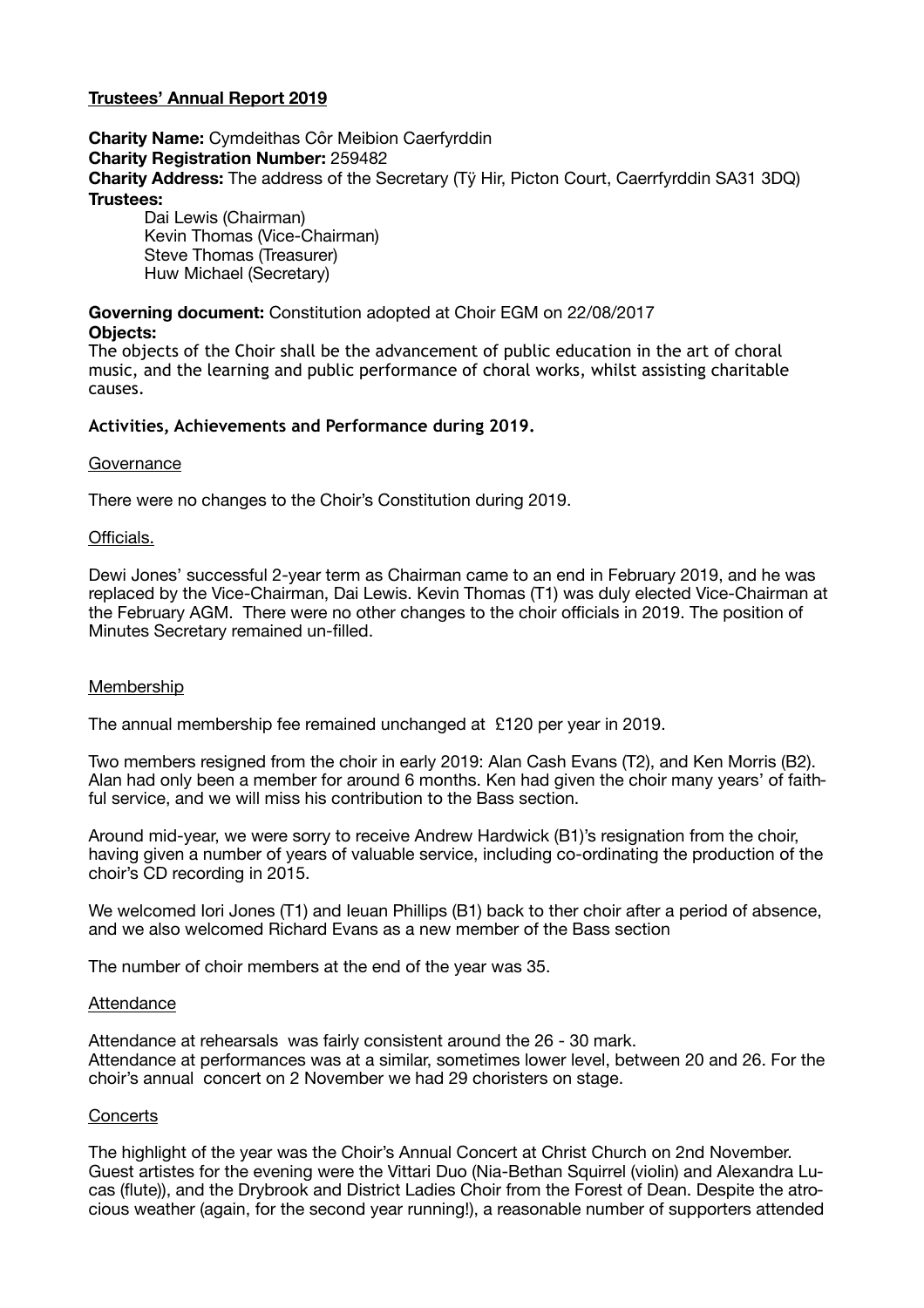# **Trustees' Annual Report 2019**

**Charity Name:** Cymdeithas Côr Meibion Caerfyrddin **Charity Registration Number:** 259482 **Charity Address:** The address of the Secretary (Tÿ Hir, Picton Court, Caerrfyrddin SA31 3DQ) **Trustees:** 

Dai Lewis (Chairman) Kevin Thomas (Vice-Chairman) Steve Thomas (Treasurer) Huw Michael (Secretary)

**Governing document:** Constitution adopted at Choir EGM on 22/08/2017

**Objects:** 

The objects of the Choir shall be the advancement of public education in the art of choral music, and the learning and public performance of choral works, whilst assisting charitable causes.

## **Activities, Achievements and Performance during 2019.**

#### **Governance**

There were no changes to the Choir's Constitution during 2019.

#### Officials.

Dewi Jones' successful 2-year term as Chairman came to an end in February 2019, and he was replaced by the Vice-Chairman, Dai Lewis. Kevin Thomas (T1) was duly elected Vice-Chairman at the February AGM. There were no other changes to the choir officials in 2019. The position of Minutes Secretary remained un-filled.

### Membership

The annual membership fee remained unchanged at £120 per year in 2019.

Two members resigned from the choir in early 2019: Alan Cash Evans (T2), and Ken Morris (B2). Alan had only been a member for around 6 months. Ken had given the choir many years' of faithful service, and we will miss his contribution to the Bass section.

Around mid-year, we were sorry to receive Andrew Hardwick (B1)'s resignation from the choir, having given a number of years of valuable service, including co-ordinating the production of the choir's CD recording in 2015.

We welcomed Iori Jones (T1) and Ieuan Phillips (B1) back to ther choir after a period of absence, and we also welcomed Richard Evans as a new member of the Bass section

The number of choir members at the end of the year was 35.

### Attendance

Attendance at rehearsals was fairly consistent around the 26 - 30 mark. Attendance at performances was at a similar, sometimes lower level, between 20 and 26. For the choir's annual concert on 2 November we had 29 choristers on stage.

### **Concerts**

The highlight of the year was the Choir's Annual Concert at Christ Church on 2nd November. Guest artistes for the evening were the Vittari Duo (Nia-Bethan Squirrel (violin) and Alexandra Lucas (flute)), and the Drybrook and District Ladies Choir from the Forest of Dean. Despite the atrocious weather (again, for the second year running!), a reasonable number of supporters attended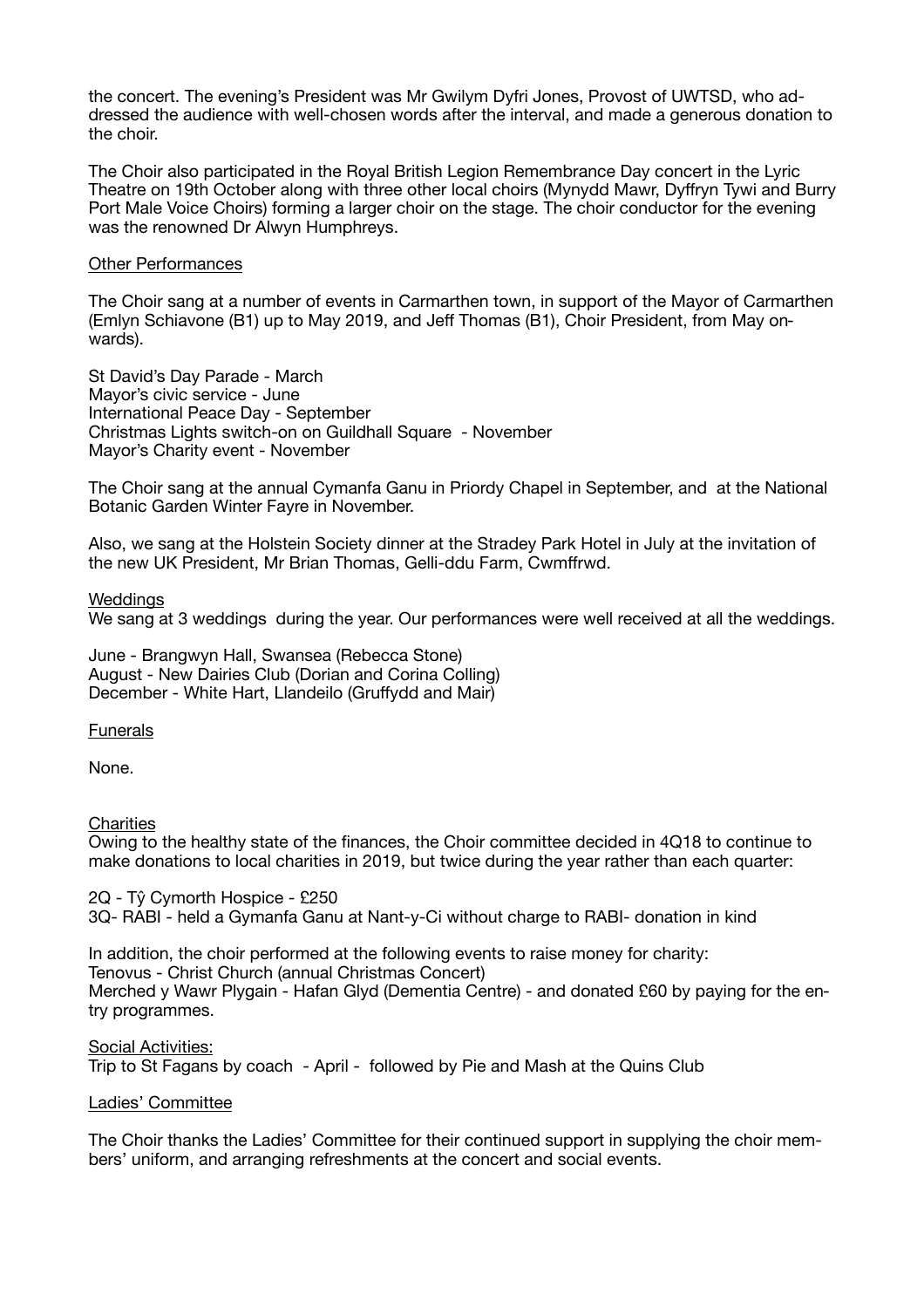the concert. The evening's President was Mr Gwilym Dyfri Jones, Provost of UWTSD, who addressed the audience with well-chosen words after the interval, and made a generous donation to the choir.

The Choir also participated in the Royal British Legion Remembrance Day concert in the Lyric Theatre on 19th October along with three other local choirs (Mynydd Mawr, Dyffryn Tywi and Burry Port Male Voice Choirs) forming a larger choir on the stage. The choir conductor for the evening was the renowned Dr Alwyn Humphreys.

### Other Performances

The Choir sang at a number of events in Carmarthen town, in support of the Mayor of Carmarthen (Emlyn Schiavone (B1) up to May 2019, and Jeff Thomas (B1), Choir President, from May onwards).

St David's Day Parade - March Mayor's civic service - June International Peace Day - September Christmas Lights switch-on on Guildhall Square - November Mayor's Charity event - November

The Choir sang at the annual Cymanfa Ganu in Priordy Chapel in September, and at the National Botanic Garden Winter Fayre in November.

Also, we sang at the Holstein Society dinner at the Stradey Park Hotel in July at the invitation of the new UK President, Mr Brian Thomas, Gelli-ddu Farm, Cwmffrwd.

#### Weddings

We sang at 3 weddings during the year. Our performances were well received at all the weddings.

June - Brangwyn Hall, Swansea (Rebecca Stone) August - New Dairies Club (Dorian and Corina Colling) December - White Hart, Llandeilo (Gruffydd and Mair)

Funerals

None.

### **Charities**

Owing to the healthy state of the finances, the Choir committee decided in 4Q18 to continue to make donations to local charities in 2019, but twice during the year rather than each quarter:

2Q - Tŷ Cymorth Hospice - £250 3Q- RABI - held a Gymanfa Ganu at Nant-y-Ci without charge to RABI- donation in kind

In addition, the choir performed at the following events to raise money for charity: Tenovus - Christ Church (annual Christmas Concert) Merched y Wawr Plygain - Hafan Glyd (Dementia Centre) - and donated £60 by paying for the entry programmes.

Social Activities: Trip to St Fagans by coach - April - followed by Pie and Mash at the Quins Club

### Ladies' Committee

The Choir thanks the Ladies' Committee for their continued support in supplying the choir members' uniform, and arranging refreshments at the concert and social events.